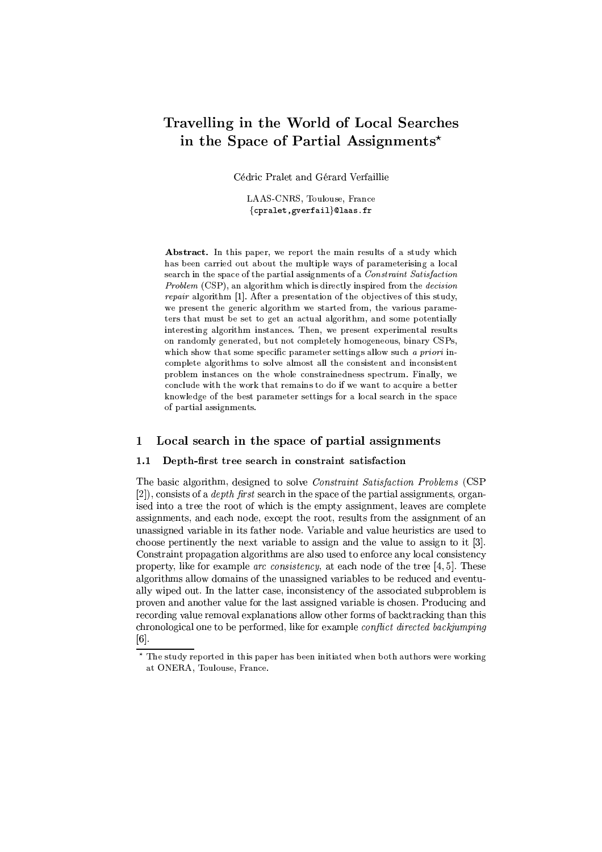# Travelling in the World of Local Searches in the Space of Partial Assignments<sup>\*</sup>

Cédric Pralet and Gérard Verfaillie

LAAS-CNRS, Toulouse, France {cpralet, gverfail}@laas.fr

Abstract. In this paper, we report the main results of a study which has been carried out about the multiple ways of parameterising a local search in the space of the partial assignments of a Constraint Satisfaction *Problem* (CSP), an algorithm which is directly inspired from the *decision* repair algorithm [1]. After a presentation of the objectives of this study, we present the generic algorithm we started from, the various parameters that must be set to get an actual algorithm, and some potentially interesting algorithm instances. Then, we present experimental results on randomly generated, but not completely homogeneous, binary CSPs. which show that some specific parameter settings allow such a priori incomplete algorithms to solve almost all the consistent and inconsistent problem instances on the whole constrainedness spectrum. Finally, we conclude with the work that remains to do if we want to acquire a better knowledge of the best parameter settings for a local search in the space of partial assignments.

### Local search in the space of partial assignments  $\mathbf{1}$

#### Depth-first tree search in constraint satisfaction  $1.1$

The basic algorithm, designed to solve *Constraint Satisfaction Problems* (CSP) [2]), consists of a *depth first* search in the space of the partial assignments, organised into a tree the root of which is the empty assignment, leaves are complete assignments, and each node, except the root, results from the assignment of an unassigned variable in its father node. Variable and value heuristics are used to choose pertinently the next variable to assign and the value to assign to it [3]. Constraint propagation algorithms are also used to enforce any local consistency property, like for example arc consistency, at each node of the tree  $[4,5]$ . These algorithms allow domains of the unassigned variables to be reduced and eventually wiped out. In the latter case, inconsistency of the associated subproblem is proven and another value for the last assigned variable is chosen. Producing and recording value removal explanations allow other forms of backtracking than this chronological one to be performed, like for example *conflict directed backjumping*  $[6]$ .

 $^\star$  The study reported in this paper has been initiated when both authors were working at ONERA, Toulouse, France.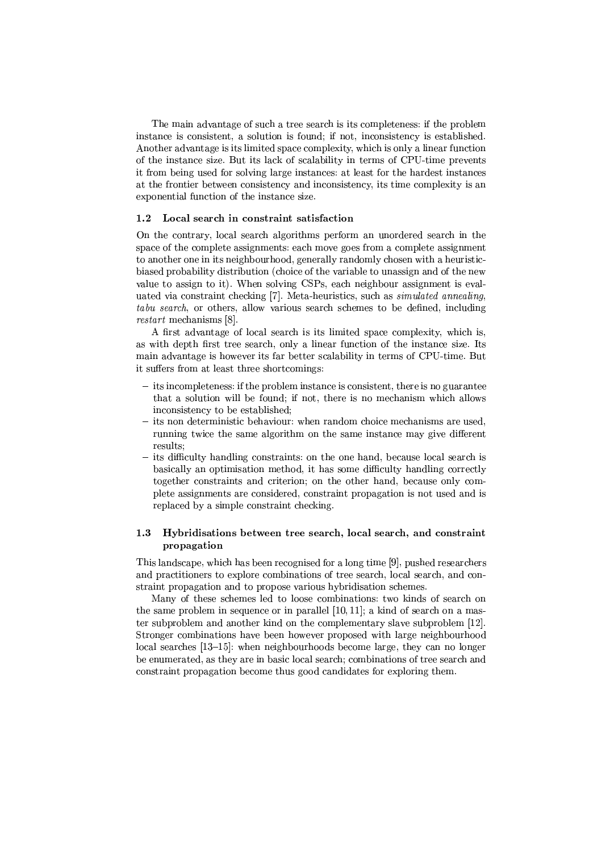The main advantage of such a tree search is its completeness: if the problem instance is consistent, a solution is found; if not, inconsistency is established. Another advantage is its limited space complexity, which is only a linear function of the instance size. But its lack of scalability in terms of CPU-time prevents it from being used for solving large instances: at least for the hardest instances at the frontier between consistency and inconsistency, its time complexity is an exponential function of the instance size.

### 1.2 Local search in constraint satisfaction

On the contrary, local search algorithms perform an unordered search in the space of the complete assignments: each move goes from a complete assignment to another one in its neighbourhood, generally randomly chosen with a heuristicbiased probability distribution (choice of the variable to unassign and of the new value to assign to it). When solving CSPs, each neighbour assignment is evaluated via constraint checking [7]. Meta-heuristics, such as *simulated annealing*, tabu search, or others, allow various search schemes to be defined, including *restart* mechanisms [8].

A first advantage of local search is its limited space complexity, which is, as with depth first tree search, only a linear function of the instance size. Its main advantage is however its far better scalability in terms of CPU-time. But it suffers from at least three shortcomings:

- its incompleteness: if the problem instance is consistent, there is no guarantee that a solution will be found; if not, there is no mechanism which allows inconsistency to be established:
- its non deterministic behaviour: when random choice mechanisms are used, running twice the same algorithm on the same instance may give different results:
- its difficulty handling constraints: on the one hand, because local search is basically an optimisation method, it has some difficulty handling correctly together constraints and criterion; on the other hand, because only complete assignments are considered, constraint propagation is not used and is replaced by a simple constraint checking.

## 1.3 Hybridisations between tree search, local search, and constraint propagation

This landscape, which has been recognised for a long time [9], pushed researchers and practitioners to explore combinations of tree search, local search, and constraint propagation and to propose various hybridisation schemes.

Many of these schemes led to loose combinations: two kinds of search on the same problem in sequence or in parallel  $[10, 11]$ ; a kind of search on a master subproblem and another kind on the complementary slave subproblem [12]. Stronger combinations have been however proposed with large neighbourhood local searches [13-15]: when neighbourhoods become large, they can no longer be enumerated, as they are in basic local search; combinations of tree search and constraint propagation become thus good candidates for exploring them.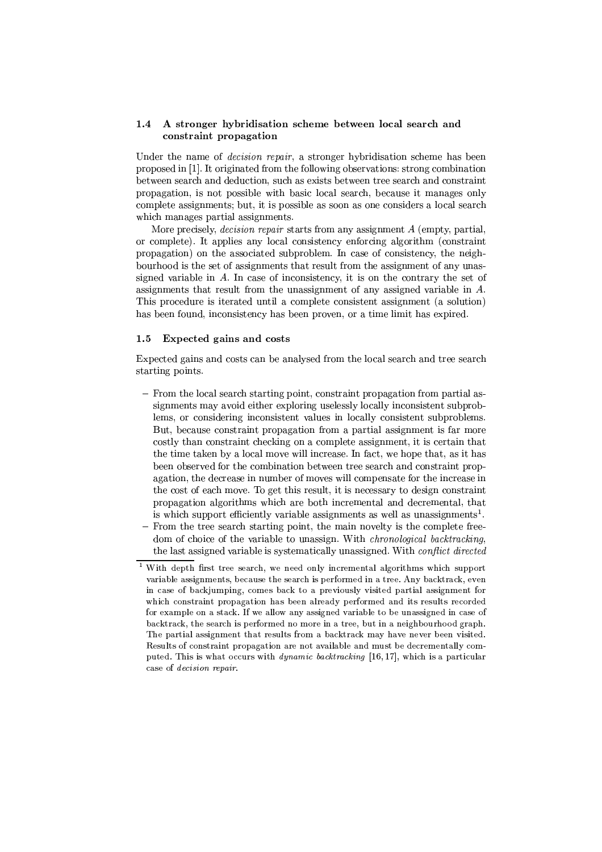### $1.4$ A stronger hybridisation scheme between local search and constraint propagation

Under the name of *decision repair*, a stronger hybridisation scheme has been proposed in [1]. It originated from the following observations: strong combination between search and deduction, such as exists between tree search and constraint propagation, is not possible with basic local search, because it manages only complete assignments; but, it is possible as soon as one considers a local search which manages partial assignments.

More precisely, *decision repair* starts from any assignment A (empty, partial, or complete). It applies any local consistency enforcing algorithm (constraint propagation) on the associated subproblem. In case of consistency, the neighbourhood is the set of assignments that result from the assignment of any unassigned variable in  $A$ . In case of inconsistency, it is on the contrary the set of assignments that result from the unassignment of any assigned variable in  $A$ . This procedure is iterated until a complete consistent assignment (a solution) has been found, inconsistency has been proven, or a time limit has expired.

# 1.5 Expected gains and costs

Expected gains and costs can be analysed from the local search and tree search starting points.

- From the local search starting point, constraint propagation from partial assignments may avoid either exploring uselessly locally inconsistent subproblems, or considering inconsistent values in locally consistent subproblems. But, because constraint propagation from a partial assignment is far more costly than constraint checking on a complete assignment, it is certain that the time taken by a local move will increase. In fact, we hope that, as it has been observed for the combination between tree search and constraint propagation, the decrease in number of moves will compensate for the increase in the cost of each move. To get this result, it is necessary to design constraint propagation algorithms which are both incremental and decremental, that is which support efficiently variable assignments as well as unassignments<sup>1</sup>.
- From the tree search starting point, the main novelty is the complete freedom of choice of the variable to unassign. With *chronological backtracking*. the last assigned variable is systematically unassigned. With *conflict directed*

<sup>&</sup>lt;sup>1</sup> With depth first tree search, we need only incremental algorithms which support variable assignments, because the search is performed in a tree. Any backtrack, even in case of backjumping, comes back to a previously visited partial assignment for which constraint propagation has been already performed and its results recorded for example on a stack. If we allow any assigned variable to be unassigned in case of backtrack, the search is performed no more in a tree, but in a neighbourhood graph. The partial assignment that results from a backtrack may have never been visited. Results of constraint propagation are not available and must be decrementally computed. This is what occurs with *dynamic backtracking* [16, 17], which is a particular case of *decision* repair.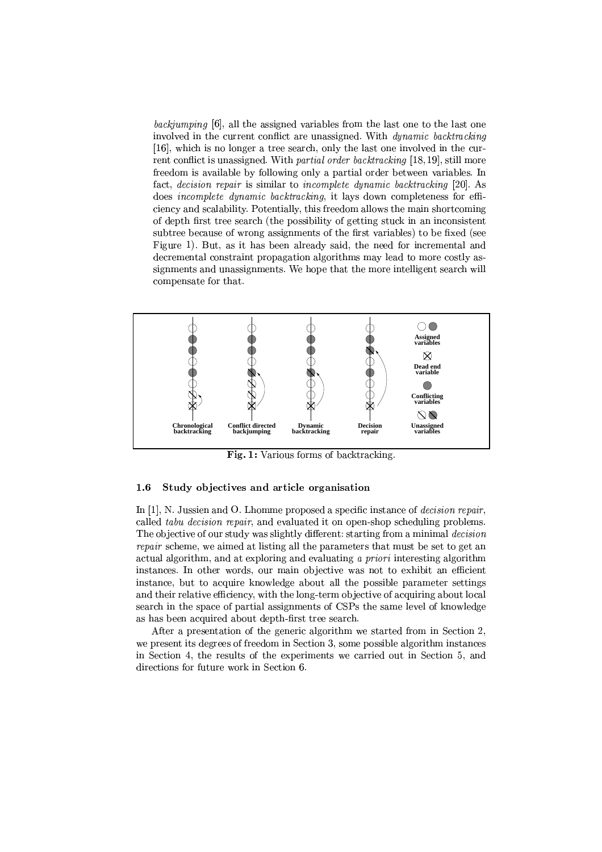*backjumping* [6], all the assigned variables from the last one to the last one involved in the current conflict are unassigned. With *dunamic backtracking* [16], which is no longer a tree search, only the last one involved in the current conflict is unassigned. With partial order backtracking [18, 19], still more freedom is available by following only a partial order between variables. In fact, *decision repair* is similar to *incomplete dynamic backtracking* [20]. As does *incomplete dynamic backtracking*, it lays down completeness for efficiency and scalability. Potentially, this freedom allows the main shortcoming of depth first tree search (the possibility of getting stuck in an inconsistent subtree because of wrong assignments of the first variables) to be fixed (see Figure 1). But, as it has been already said, the need for incremental and decremental constraint propagation algorithms may lead to more costly assignments and unassignments. We hope that the more intelligent search will compensate for that.



Fig. 1: Various forms of backtracking.

#### Study objectives and article organisation 1.6

In [1], N. Jussien and O. Lhomme proposed a specific instance of *decision repair*, called *tabu decision repair*, and evaluated it on open-shop scheduling problems. The objective of our study was slightly different: starting from a minimal *decision* repair scheme, we aimed at listing all the parameters that must be set to get an actual algorithm, and at exploring and evaluating a priori interesting algorithm instances. In other words, our main objective was not to exhibit an efficient instance, but to acquire knowledge about all the possible parameter settings and their relative efficiency, with the long-term objective of acquiring about local search in the space of partial assignments of CSPs the same level of knowledge as has been acquired about depth-first tree search.

After a presentation of the generic algorithm we started from in Section 2, we present its degrees of freedom in Section 3, some possible algorithm instances in Section 4, the results of the experiments we carried out in Section 5, and directions for future work in Section 6.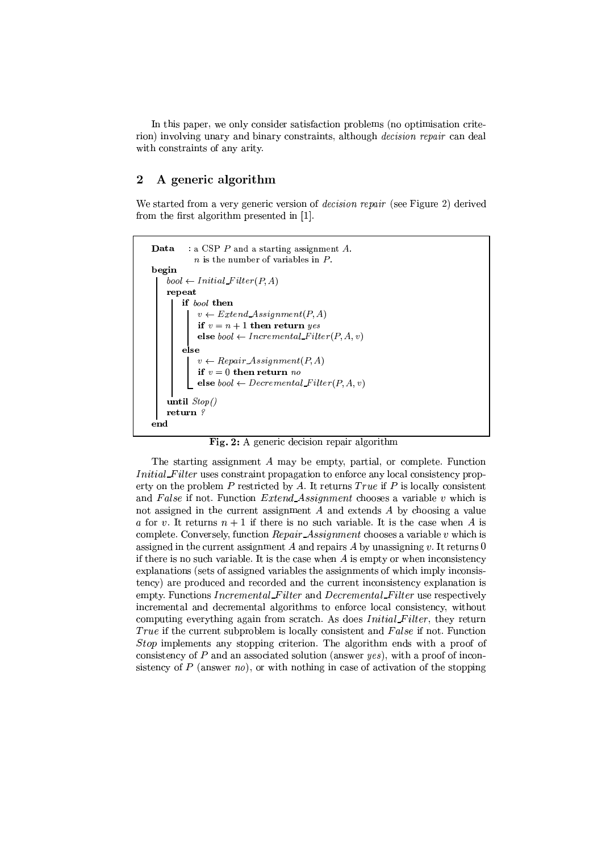In this paper, we only consider satisfaction problems (no optimisation criterion) involving unary and binary constraints, although *decision repair* can deal with constraints of any arity.

### A generic algorithm  $\overline{2}$

We started from a very generic version of *decision repair* (see Figure 2) derived from the first algorithm presented in [1].

```
Data
          : a CSP P and a starting assignment A.
           n is the number of variables in P.
begin
    bool \leftarrow Initial\_Filter(P, A)repeat
        if bool then
            v \leftarrow Extend\_Assignment(P, A)if v = n + 1 then return yes
            else bool \leftarrow \text{Incremental\_Filter}(P, A, v)else
            v \leftarrow Repair\_Assignment(P, A)if v = 0 then return noelse bool \leftarrow Decremental_Filter(P, A, v)
    until Stop()return ?
end
```
Fig. 2: A generic decision repair algorithm

The starting assignment  $A$  may be empty, partial, or complete. Function *Initial\_Filter* uses constraint propagation to enforce any local consistency property on the problem  $P$  restricted by  $A$ . It returns  $True$  if  $P$  is locally consistent and False if not. Function Extend\_Assignment chooses a variable v which is not assigned in the current assignment  $A$  and extends  $A$  by choosing a value a for v. It returns  $n + 1$  if there is no such variable. It is the case when A is complete. Conversely, function  $Repair\_Assignment$  chooses a variable  $v$  which is assigned in the current assignment  $A$  and repairs  $A$  by unassigning  $v$ . It returns 0 if there is no such variable. It is the case when  $\vec{A}$  is empty or when inconsistency explanations (sets of assigned variables the assignments of which imply inconsistency) are produced and recorded and the current inconsistency explanation is empty. Functions *Incremental\_Filter* and *Decremental\_Filter* use respectively incremental and decremental algorithms to enforce local consistency, without computing everything again from scratch. As does *Initial\_Filter*, they return True if the current subproblem is locally consistent and False if not. Function *Stop* implements any stopping criterion. The algorithm ends with a proof of consistency of P and an associated solution (answer  $yes$ ), with a proof of inconsistency of  $P$  (answer no), or with nothing in case of activation of the stopping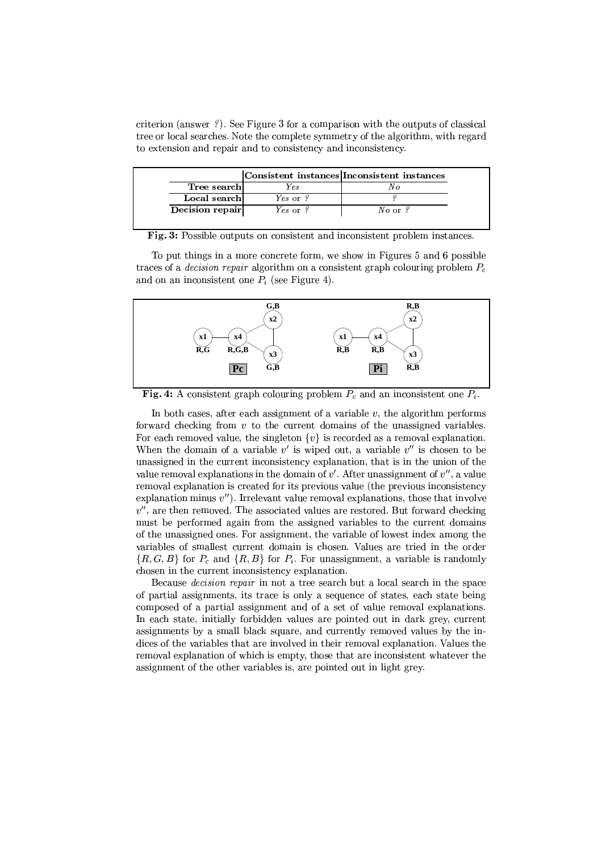criterion (answer ?). See Figure 3 for a comparison with the outputs of classical tree or local searches. Note the complete symmetry of the algorithm, with regard to extension and repair and to consistency and inconsistency.

|                 |                             | Consistent instances Inconsistent instances |
|-----------------|-----------------------------|---------------------------------------------|
| Tree searchl    | Yes                         |                                             |
| Local searchl   | $Yes \text{ or }?$          |                                             |
| Decision repair | <i>Yes</i> or $\frac{2}{3}$ | <i>No</i> or $\frac{2}{3}$                  |

Fig. 3: Possible outputs on consistent and inconsistent problem instances.

To put things in a more concrete form, we show in Figures 5 and 6 possible traces of a *decision repair* algorithm on a consistent graph colouring problem  $P_c$ and on an inconsistent one  $P_i$  (see Figure 4).



Fig. 4: A consistent graph colouring problem  $P_c$  and an inconsistent one  $P_i$ 

In both cases, after each assignment of a variable  $v$ , the algorithm performs forward checking from  $v$  to the current domains of the unassigned variables. For each removed value, the singleton  $\{v\}$  is recorded as a removal explanation. When the domain of a variable  $v'$  is wiped out, a variable  $v''$  is chosen to be unassigned in the current inconsistency explanation, that is in the union of the value removal explanations in the domain of  $v'$ . After unassignment of  $v''$ , a value removal explanation is created for its previous value (the previous inconsistency explanation minus  $v''$ ). Irrelevant value removal explanations, those that involve  $v''$ , are then removed. The associated values are restored. But forward checking must be performed again from the assigned variables to the current domains of the unassigned ones. For assignment, the variable of lowest index among the variables of smallest current domain is chosen. Values are tried in the order  $\{R, G, B\}$  for  $P_c$  and  $\{R, B\}$  for  $P_i$ . For unassignment, a variable is randomly chosen in the current inconsistency explanation.

Because *decision repair* in not a tree search but a local search in the space of partial assignments, its trace is only a sequence of states, each state being composed of a partial assignment and of a set of value removal explanations. In each state, initially forbidden values are pointed out in dark grey, current assignments by a small black square, and currently removed values by the indices of the variables that are involved in their removal explanation. Values the removal explanation of which is empty, those that are inconsistent whatever the assignment of the other variables is, are pointed out in light grey.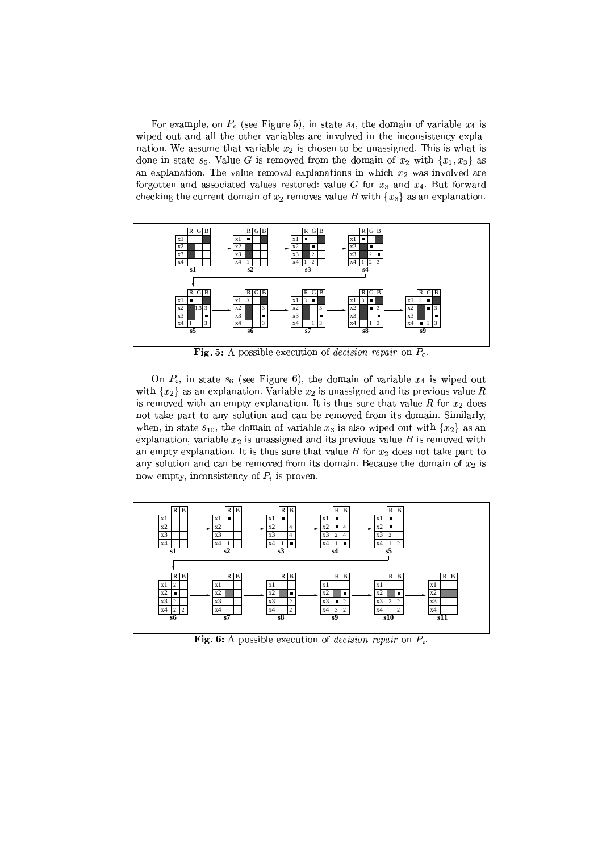For example, on  $P_c$  (see Figure 5), in state  $s_4$ , the domain of variable  $x_4$  is wiped out and all the other variables are involved in the inconsistency explanation. We assume that variable  $x_2$  is chosen to be unassigned. This is what is done in state  $s_5$ . Value G is removed from the domain of  $x_2$  with  $\{x_1, x_3\}$  as an explanation. The value removal explanations in which  $x_2$  was involved are forgotten and associated values restored: value G for  $x_3$  and  $x_4$ . But forward checking the current domain of  $x_2$  removes value B with  $\{x_3\}$  as an explanation.



**Fig. 5:** A possible execution of *decision repair* on  $P_c$ .

On  $P_i$ , in state  $s_6$  (see Figure 6), the domain of variable  $x_4$  is wiped out with  $\{x_2\}$  as an explanation. Variable  $x_2$  is unassigned and its previous value R is removed with an empty explanation. It is thus sure that value  $R$  for  $x_2$  does not take part to any solution and can be removed from its domain. Similarly, when, in state  $s_{10}$ , the domain of variable  $x_3$  is also wiped out with  $\{x_2\}$  as an explanation, variable  $x_2$  is unassigned and its previous value B is removed with an empty explanation. It is thus sure that value B for  $x_2$  does not take part to any solution and can be removed from its domain. Because the domain of  $x_2$  is now empty, inconsistency of  $P_i$  is proven.



**Fig. 6:** A possible execution of *decision repair* on  $P_i$ .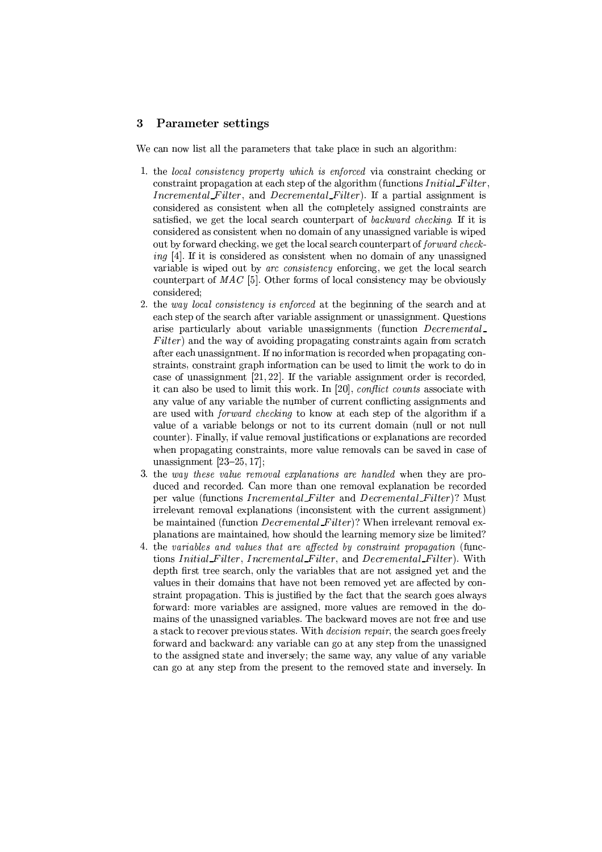### **Parameter settings** 3

We can now list all the parameters that take place in such an algorithm:

- 1. the local consistency property which is enforced via constraint checking or constraint propagation at each step of the algorithm (functions Initial\_Filter, *Incremental\_Filter*, and *Decremental\_Filter*). If a partial assignment is considered as consistent when all the completely assigned constraints are satisfied, we get the local search counterpart of backward checking. If it is considered as consistent when no domain of any unassigned variable is wiped out by forward checking, we get the local search counterpart of *forward check* $inq$  [4]. If it is considered as consistent when no domain of any unassigned variable is wiped out by arc consistency enforcing, we get the local search counterpart of  $MAC$  [5]. Other forms of local consistency may be obviously considered;
- 2. the way local consistency is enforced at the beginning of the search and at each step of the search after variable assignment or unassignment. Questions arise particularly about variable unassignments (function *Decremental*  $Filter)$  and the way of avoiding propagating constraints again from scratch after each unassignment. If no information is recorded when propagating constraints, constraint graph information can be used to limit the work to do in case of unassignment  $[21, 22]$ . If the variable assignment order is recorded, it can also be used to limit this work. In [20], conflict counts associate with any value of any variable the number of current conflicting assignments and are used with *forward checking* to know at each step of the algorithm if a value of a variable belongs or not to its current domain (null or not null counter). Finally, if value removal justifications or explanations are recorded when propagating constraints, more value removals can be saved in case of unassignment  $[23-25, 17]$ ;
- 3. the way these value removal explanations are handled when they are produced and recorded. Can more than one removal explanation be recorded per value (functions Incremental\_Filter and Decremental\_Filter)? Must irrelevant removal explanations (inconsistent with the current assignment) be maintained (function *Decremental Filter*)? When irrelevant removal explanations are maintained, how should the learning memory size be limited?
- 4. the variables and values that are affected by constraint propagation (functions Initial Filter, Incremental Filter, and Decremental Filter). With depth first tree search, only the variables that are not assigned yet and the values in their domains that have not been removed vet are affected by constraint propagation. This is justified by the fact that the search goes always forward: more variables are assigned, more values are removed in the domains of the unassigned variables. The backward moves are not free and use a stack to recover previous states. With *decision repair*, the search goes freely forward and backward: any variable can go at any step from the unassigned to the assigned state and inversely; the same way, any value of any variable can go at any step from the present to the removed state and inversely. In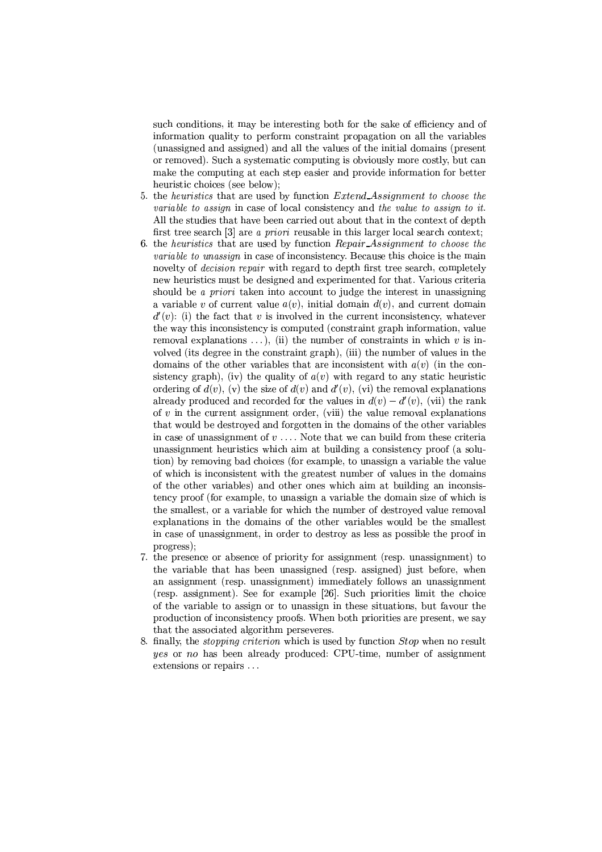such conditions, it may be interesting both for the sake of efficiency and of information quality to perform constraint propagation on all the variables (unassigned and assigned) and all the values of the initial domains (present or removed). Such a systematic computing is obviously more costly, but can make the computing at each step easier and provide information for better heuristic choices (see below):

- 5. the heuristics that are used by function Extend\_Assignment to choose the *variable to assign* in case of local consistency and the *value to assign to it.* All the studies that have been carried out about that in the context of depth first tree search [3] are *a priori* reusable in this larger local search context:
- 6. the heuristics that are used by function Repair\_Assignment to choose the *variable to unassign* in case of inconsistency. Because this choice is the main novelty of *decision repair* with regard to depth first tree search, completely new heuristics must be designed and experimented for that. Various criteria should be a priori taken into account to judge the interest in unassigning a variable v of current value  $a(v)$ , initial domain  $d(v)$ , and current domain  $d'(v)$ : (i) the fact that v is involved in the current inconsistency, whatever the way this inconsistency is computed (constraint graph information, value removal explanations ...), (ii) the number of constraints in which v is involved (its degree in the constraint graph), (iii) the number of values in the domains of the other variables that are inconsistent with  $a(v)$  (in the consistency graph), (iv) the quality of  $a(v)$  with regard to any static heuristic ordering of  $d(v)$ , (v) the size of  $d(v)$  and  $d'(v)$ , (vi) the removal explanations already produced and recorded for the values in  $d(v) - d'(v)$ , (vii) the rank of  $v$  in the current assignment order, (viii) the value removal explanations that would be destroyed and forgotten in the domains of the other variables in case of unassignment of  $v \ldots$ . Note that we can build from these criteria unassignment heuristics which aim at building a consistency proof (a solution) by removing bad choices (for example, to unassign a variable the value of which is inconsistent with the greatest number of values in the domains of the other variables) and other ones which aim at building an inconsistency proof (for example, to unassign a variable the domain size of which is the smallest, or a variable for which the number of destroyed value removal explanations in the domains of the other variables would be the smallest in case of unassignment, in order to destroy as less as possible the proof in progress):
- 7. the presence or absence of priority for assignment (resp. unassignment) to the variable that has been unassigned (resp. assigned) just before, when an assignment (resp. unassignment) immediately follows an unassignment (resp. assignment). See for example [26]. Such priorities limit the choice of the variable to assign or to unassign in these situations, but favour the production of inconsistency proofs. When both priorities are present, we say that the associated algorithm perseveres.
- 8. finally, the *stopping criterion* which is used by function *Stop* when no result yes or no has been already produced: CPU-time, number of assignment extensions or repairs ...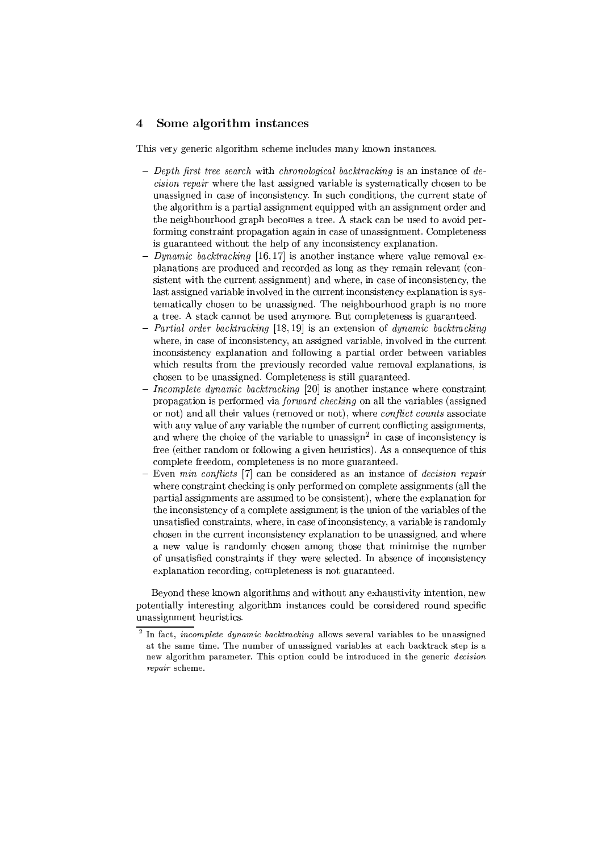#### Some algorithm instances 4

This very generic algorithm scheme includes many known instances.

- Depth first tree search with chronological backtracking is an instance of de*cision repair* where the last assigned variable is systematically chosen to be unassigned in case of inconsistency. In such conditions, the current state of the algorithm is a partial assignment equipped with an assignment order and the neighbourhood graph becomes a tree. A stack can be used to avoid performing constraint propagation again in case of unassignment. Completeness is guaranteed without the help of any inconsistency explanation.
- Dynamic backtracking [16,17] is another instance where value removal explanations are produced and recorded as long as they remain relevant (consistent with the current assignment) and where, in case of inconsistency, the last assigned variable involved in the current inconsistency explanation is systematically chosen to be unassigned. The neighbourhood graph is no more a tree. A stack cannot be used anymore. But completeness is guaranteed.
- $-$  Partial order backtracking [18,19] is an extension of dynamic backtracking where, in case of inconsistency, an assigned variable, involved in the current inconsistency explanation and following a partial order between variables which results from the previously recorded value removal explanations, is chosen to be unassigned. Completeness is still guaranteed.
- Incomplete dynamic backtracking [20] is another instance where constraint propagation is performed via *forward checking* on all the variables (assigned or not) and all their values (removed or not), where *conflict counts* associate with any value of any variable the number of current conflicting assignments, and where the choice of the variable to unassign<sup>2</sup> in case of inconsistency is free (either random or following a given heuristics). As a consequence of this complete freedom, completeness is no more guaranteed.
- Even min conflicts [7] can be considered as an instance of decision repair where constraint checking is only performed on complete assignments (all the partial assignments are assumed to be consistent), where the explanation for the inconsistency of a complete assignment is the union of the variables of the unsatisfied constraints, where, in case of inconsistency, a variable is randomly chosen in the current inconsistency explanation to be unassigned, and where a new value is randomly chosen among those that minimise the number of unsatisfied constraints if they were selected. In absence of inconsistency explanation recording, completeness is not guaranteed.

Beyond these known algorithms and without any exhaustivity intention, new potentially interesting algorithm instances could be considered round specific unassignment heuristics.

 $^{2}$  In fact, *incomplete dynamic backtracking* allows several variables to be unassigned at the same time. The number of unassigned variables at each backtrack step is a new algorithm parameter. This option could be introduced in the generic decision repair scheme.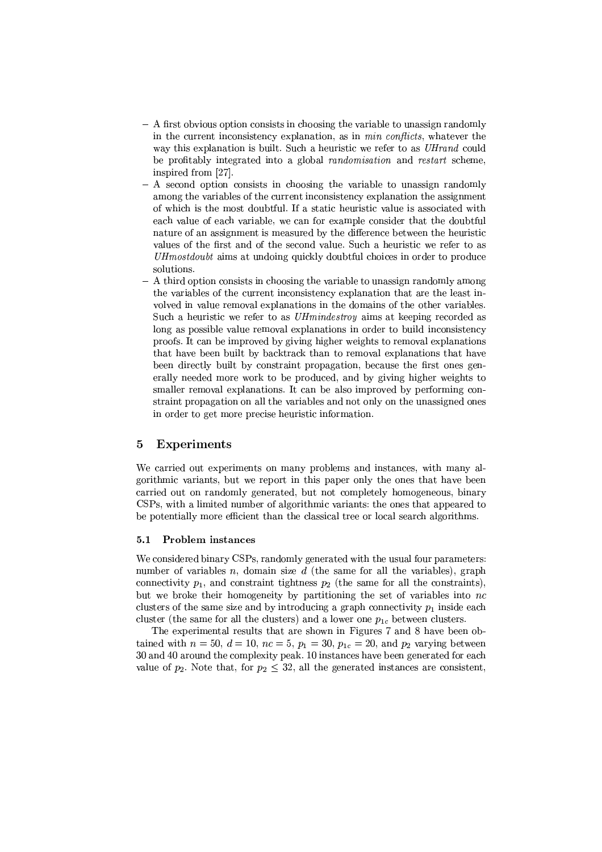- A first obvious option consists in choosing the variable to unassign randomly in the current inconsistency explanation, as in *min conflicts*, whatever the way this explanation is built. Such a heuristic we refer to as *UHrand* could be profitably integrated into a global *randomisation* and *restart* scheme, inspired from [27].
- $-$  A second option consists in choosing the variable to unassign randomly among the variables of the current inconsistency explanation the assignment of which is the most doubtful. If a static heuristic value is associated with each value of each variable, we can for example consider that the doubtful nature of an assignment is measured by the difference between the heuristic values of the first and of the second value. Such a heuristic we refer to as UH mostdoubt aims at undoing quickly doubtful choices in order to produce solutions.
- $-$  A third option consists in choosing the variable to unassign randomly among the variables of the current inconsistency explanation that are the least involved in value removal explanations in the domains of the other variables. Such a heuristic we refer to as *UHmindestrou* aims at keeping recorded as long as possible value removal explanations in order to build inconsistency proofs. It can be improved by giving higher weights to removal explanations that have been built by backtrack than to removal explanations that have been directly built by constraint propagation, because the first ones generally needed more work to be produced, and by giving higher weights to smaller removal explanations. It can be also improved by performing constraint propagation on all the variables and not only on the unassigned ones in order to get more precise heuristic information.

#### Experiments 5

We carried out experiments on many problems and instances, with many algorithmic variants, but we report in this paper only the ones that have been carried out on randomly generated, but not completely homogeneous, binary CSPs, with a limited number of algorithmic variants: the ones that appeared to be potentially more efficient than the classical tree or local search algorithms.

# 5.1 Problem instances

We considered binary CSPs, randomly generated with the usual four parameters: number of variables  $n$ , domain size  $d$  (the same for all the variables), graph connectivity  $p_1$ , and constraint tightness  $p_2$  (the same for all the constraints), but we broke their homogeneity by partitioning the set of variables into  $nc$ clusters of the same size and by introducing a graph connectivity  $p_1$  inside each cluster (the same for all the clusters) and a lower one  $p_{1c}$  between clusters.

The experimental results that are shown in Figures 7 and 8 have been obtained with  $n = 50$ ,  $d = 10$ ,  $nc = 5$ ,  $p_1 = 30$ ,  $p_{1c} = 20$ , and  $p_2$  varying between 30 and 40 around the complexity peak. 10 instances have been generated for each value of  $p_2$ . Note that, for  $p_2 \leq 32$ , all the generated instances are consistent,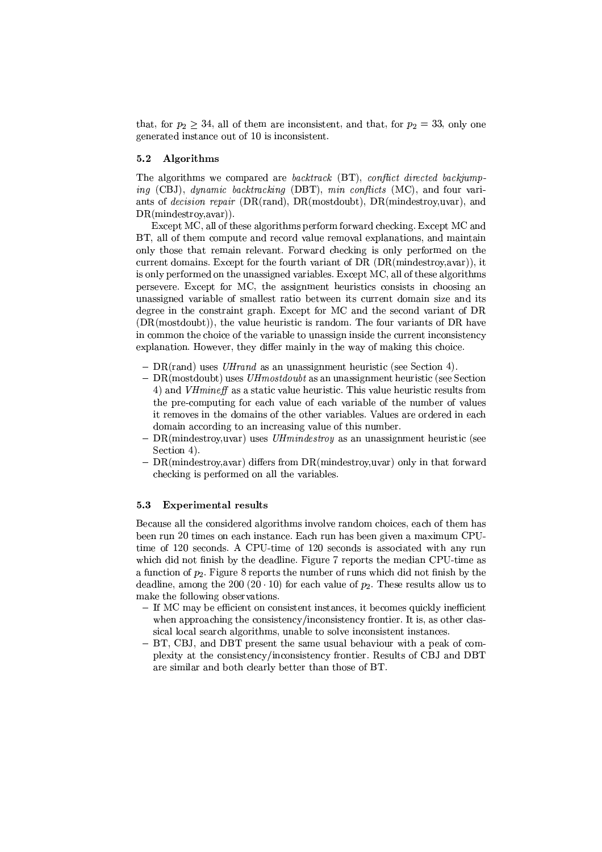that, for  $p_2 \geq 34$ , all of them are inconsistent, and that, for  $p_2 = 33$ , only one generated instance out of 10 is inconsistent.

#### $5.2$ Algorithms

The algorithms we compared are backtrack (BT), conflict directed backjump*ing* (CBJ), *dynamic backtracking* (DBT), *min conflicts* (MC), and four variants of *decision repair* (DR(rand), DR(mostdoubt), DR(mindestroy, uvar), and  $DR(mindestroy, avar)).$ 

Except MC, all of these algorithms perform forward checking. Except MC and BT, all of them compute and record value removal explanations, and maintain only those that remain relevant. Forward checking is only performed on the current domains. Except for the fourth variant of DR (DR(mindestroy, avar)), it is only performed on the unassigned variables. Except MC, all of these algorithms persevere. Except for MC, the assignment heuristics consists in choosing an unassigned variable of smallest ratio between its current domain size and its degree in the constraint graph. Except for MC and the second variant of DR (DR(mostdoubt), the value heuristic is random. The four variants of DR have in common the choice of the variable to unassign inside the current inconsistency explanation. However, they differ mainly in the way of making this choice.

- DR(rand) uses *UHrand* as an unassignment heuristic (see Section 4).
- $DR (most doubt)$  uses *UHmostdoubt* as an unassignment heuristic (see Section 4) and *VHmineff* as a static value heuristic. This value heuristic results from the pre-computing for each value of each variable of the number of values it removes in the domains of the other variables. Values are ordered in each domain according to an increasing value of this number.
- $DR$ (mindestroy, uvar) uses *UHmindestroy* as an unassignment heuristic (see Section 4).
- $DR(minedestrov,avar)$  differs from  $DR(mindestrov,uvar)$  only in that forward checking is performed on all the variables.

#### **Experimental results** 5.3

Because all the considered algorithms involve random choices, each of them has been run 20 times on each instance. Each run has been given a maximum CPUtime of 120 seconds. A CPU-time of 120 seconds is associated with any run which did not finish by the deadline. Figure 7 reports the median CPU-time as a function of  $p_2$ . Figure 8 reports the number of runs which did not finish by the deadline, among the 200 (20  $\cdot$  10) for each value of  $p_2$ . These results allow us to make the following observations.

- If MC may be efficient on consistent instances, it becomes quickly inefficient when approaching the consistency/inconsistency frontier. It is, as other classical local search algorithms, unable to solve inconsistent instances.
- BT, CBJ, and DBT present the same usual behaviour with a peak of complexity at the consistency/inconsistency frontier. Results of CBJ and DBT are similar and both clearly better than those of BT.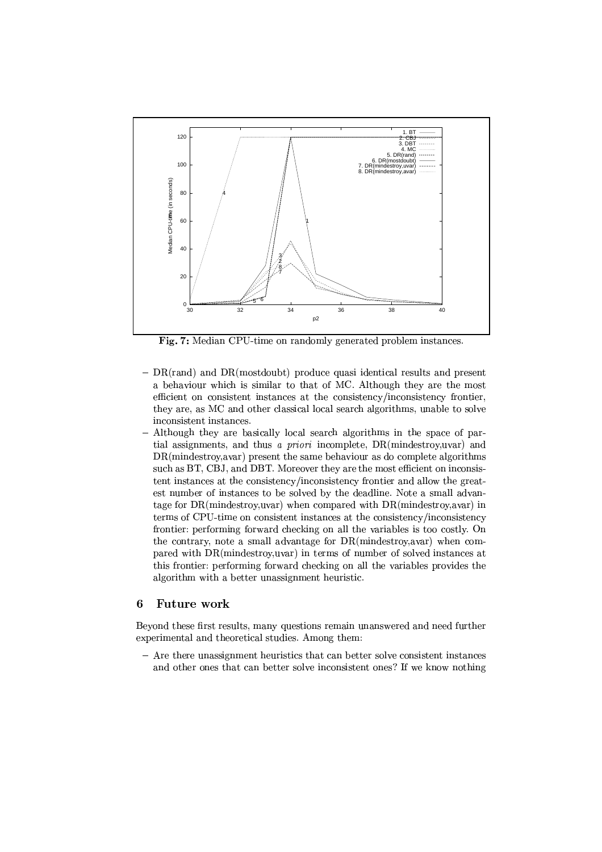

Fig. 7: Median CPU-time on randomly generated problem instances.

- $DR(rand)$  and  $DR(mostdoubt)$  produce quasi identical results and present a behaviour which is similar to that of MC. Although they are the most efficient on consistent instances at the consistency/inconsistency frontier, they are, as MC and other classical local search algorithms, unable to solve inconsistent instances.
- Although they are basically local search algorithms in the space of partial assignments, and thus a priori incomplete, DR(mindestroy, uvar) and DR(mindestroy, avar) present the same behaviour as do complete algorithms such as BT, CBJ, and DBT. Moreover they are the most efficient on inconsistent instances at the consistency/inconsistency frontier and allow the greatest number of instances to be solved by the deadline. Note a small advantage for  $DR(mindestrov, uvar)$  when compared with  $DR(mindestrov, avar)$  in terms of CPU-time on consistent instances at the consistency/inconsistency frontier: performing forward checking on all the variables is too costly. On the contrary, note a small advantage for DR(mindestroy, avar) when compared with DR(mindestroy, uvar) in terms of number of solved instances at this frontier: performing forward checking on all the variables provides the algorithm with a better unassignment heuristic.

### **Future work** 6

Beyond these first results, many questions remain unanswered and need further experimental and theoretical studies. Among them:

- Are there unassignment heuristics that can better solve consistent instances and other ones that can better solve inconsistent ones? If we know nothing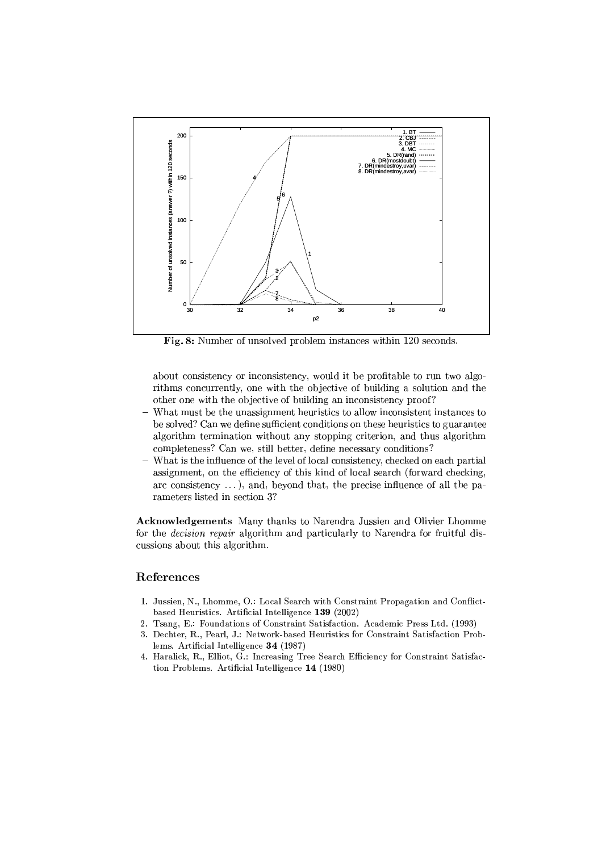

Fig. 8: Number of unsolved problem instances within 120 seconds.

about consistency or inconsistency, would it be profitable to run two algorithms concurrently, one with the objective of building a solution and the other one with the objective of building an inconsistency proof?

- What must be the unassignment heuristics to allow inconsistent instances to be solved? Can we define sufficient conditions on these heuristics to guarantee algorithm termination without any stopping criterion, and thus algorithm completeness? Can we, still better, define necessary conditions?
- What is the influence of the level of local consistency, checked on each partial assignment, on the efficiency of this kind of local search (forward checking, arc consistency  $\dots$ ), and, beyond that, the precise influence of all the parameters listed in section 3?

Acknowledgements Many thanks to Narendra Jussien and Olivier Lhomme for the *decision repair* algorithm and particularly to Narendra for fruitful discussions about this algorithm.

# References

- 1. Jussien, N., Lhomme, O.: Local Search with Constraint Propagation and Conflictbased Heuristics. Artificial Intelligence 139 (2002)
- 2. Tsang, E.: Foundations of Constraint Satisfaction. Academic Press Ltd. (1993)
- 3. Dechter, R., Pearl, J.: Network-based Heuristics for Constraint Satisfaction Problems. Artificial Intelligence 34 (1987)
- 4. Haralick, R., Elliot, G.: Increasing Tree Search Efficiency for Constraint Satisfaction Problems. Artificial Intelligence 14 (1980)